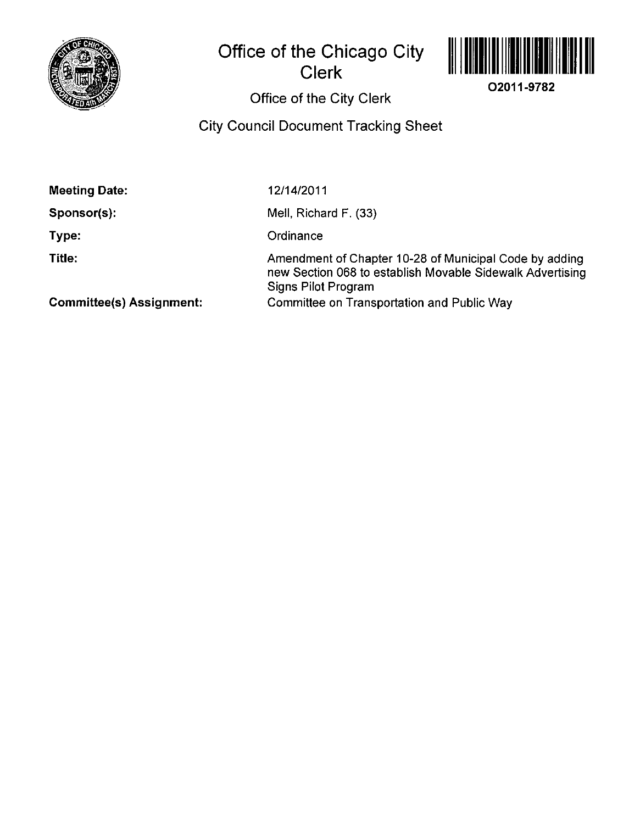

## **Office of the Chicago City Clerk**



**02011-9782** 

# Office of the City Clerk

## City Council Document Tracking Sheet

| <b>Meeting Date:</b>            | 12/14/2011                                                                                                                                 |
|---------------------------------|--------------------------------------------------------------------------------------------------------------------------------------------|
| Sponsor(s):                     | Mell, Richard F. (33)                                                                                                                      |
| Type:                           | Ordinance                                                                                                                                  |
| Title:                          | Amendment of Chapter 10-28 of Municipal Code by adding<br>new Section 068 to establish Movable Sidewalk Advertising<br>Signs Pilot Program |
| <b>Committee(s) Assignment:</b> | Committee on Transportation and Public Way                                                                                                 |